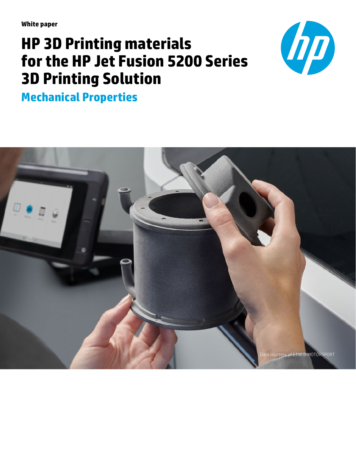**White paper**

# **HP 3D Printing materials for the HP Jet Fusion 5200 Series 3D Printing Solution**



**Mechanical Properties**

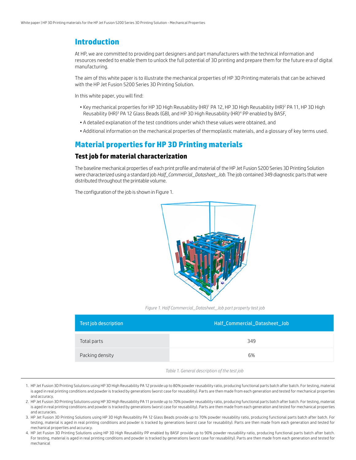## **Introduction**

At HP, we are committed to providing part designers and part manufacturers with the technical information and resources needed to enable them to unlock the full potential of 3D printing and prepare them for the future era of digital manufacturing.

The aim of this white paper is to illustrate the mechanical properties of HP 3D Printing materials that can be achieved with the HP Jet Fusion 5200 Series 3D Printing Solution.

In this white paper, you will find:

- $\bullet$  Key mechanical properties for HP 3D High Reusability (HR)<sup>1</sup> PA 12, HP 3D High Reusability (HR)<sup>2</sup> PA 11, HP 3D High Reusability (HR)<sup>3</sup> PA 12 Glass Beads (GB), and HP 3D High Reusability (HR)<sup>4</sup> PP enabled by BASF,
- A detailed explanation of the test conditions under which these values were obtained, and
- Additional information on the mechanical properties of thermoplastic materials, and a glossary of key terms used.

### **Material properties for HP 3D Printing materials**

#### **Test job for material characterization**

The baseline mechanical properties of each print profile and material of the HP Jet Fusion 5200 Series 3D Printing Solution were characterized using a standard job *Half\_Commercial\_Datasheet\_Job*. The job contained 349 diagnostic parts that were distributed throughout the printable volume.

The configuration of the job is shown in Figure 1.



*Figure 1. Half Commercial\_Datasheet\_Job part property test job*

| Test job description | Half_Commercial_Datasheet_Job |  |  |
|----------------------|-------------------------------|--|--|
| Total parts          | 349                           |  |  |
| Packing density      | 6%                            |  |  |

*Table 1. General description of the test job*

- 1. HP Jet Fusion 3D Printing Solutions using HP 3D High Reusability PA 12 provide up to 80% powder reusability ratio, producing functional parts batch after batch. For testing, material is aged in real printing conditions and powder is tracked by generations (worst case for reusability). Parts are then made from each generation and tested for mechanical properties and accuracy.
- 2. HP Jet Fusion 3D Printing Solutions using HP 3D High Reusability PA 11 provide up to 70% powder reusability ratio, producing functional parts batch after batch. For testing, material is aged in real printing conditions and powder is tracked by generations (worst case for reusability). Parts are then made from each generation and tested for mechanical properties and accuracies.
- 3. HP Jet Fusion 3D Printing Solutions using HP 3D High Reusability PA 12 Glass Beads provide up to 70% powder reusability ratio, producing functional parts batch after batch. For testing, material is aged in real printing conditions and powder is tracked by generations (worst case for reusability). Parts are then made from each generation and tested for mechanical properties and accuracy.
- 4. HP Jet Fusion 3D Printing Solutions using HP 3D High Reusability PP enabled by BASF provide up to 90% powder reusability ratio, producing functional parts batch after batch. For testing, material is aged in real printing conditions and powder is tracked by generations (worst case for reusability). Parts are then made from each generation and tested for mechanical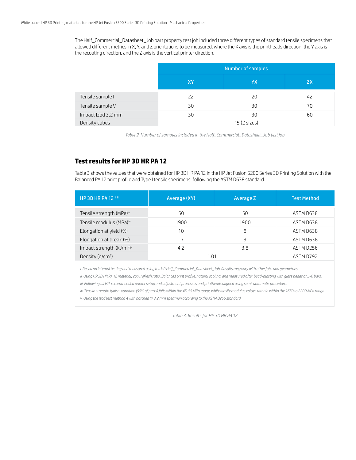The Half\_Commercial\_Datasheet\_Job part property test job included three different types of standard tensile specimens that allowed different metrics in X, Y, and Z orientations to be measured, where the X axis is the printheads direction, the Y axis is the recoating direction, and the Z axis is the vertical printer direction.

|                    | Number of samples |    |           |
|--------------------|-------------------|----|-----------|
|                    | XY                | YΧ | <b>ZX</b> |
| Tensile sample I   | 22                | 20 | 42        |
| Tensile sample V   | 30                | 30 | 70        |
| Impact Izod 3.2 mm | 30                | 30 | 60        |
| Density cubes      | 15 (2 sizes)      |    |           |

*Table 2. Number of samples included in the Half\_Commercial\_Datasheet\_Job test job*

#### **Test results for HP 3D HR PA 12**

Table 3 shows the values that were obtained for HP 3D HR PA 12 in the HP Jet Fusion 5200 Series 3D Printing Solution with the Balanced PA 12 print profile and Type I tensile specimens, following the ASTM D638 standard.

| HP 3D HR PA 12 <sup>1111</sup>                    | Average (XY) | Average Z | <b>Test Method</b> |
|---------------------------------------------------|--------------|-----------|--------------------|
| Tensile strength (MPa) <sup>iv</sup>              | 50           | 50        | ASTM D638          |
| Tensile modulus (MPa)iv                           | 1900         | 1900      | ASTM D638          |
| Elongation at yield (%)                           | 10           | 8         | ASTM D638          |
| Elongation at break (%)                           | 17           | 9         | ASTM D638          |
| Impact strength (kJ/m <sup>2</sup> ) <sup>v</sup> | 4.2          | 3.8       | ASTM D256          |
| Density $(q/cm3)$                                 | 1.01         |           | ASTM D792          |

*i. Based on internal testing and measured using the HP Half\_Commercial\_Datasheet\_Job. Results may vary with other jobs and geometries.*

*ii. Using HP 3D HR PA 12 material, 20% refresh ratio, Balanced print profile, natural cooling, and measured after bead-blasting with glass beads at 5-6 bars. iii. Following all HP-recommended printer setup and adjustment processes and printheads aligned using semi-automatic procedure.*

*iv. Tensile strength typical variation (95% of parts) falls within the 45-55 MPa range, while tensile modulus values remain within the 1650 to 2200 MPa range.*

*v. Using the Izod test method A with notched @ 3.2 mm specimen according to the ASTM D256 standard.*

*Table 3. Results for HP 3D HR PA 12*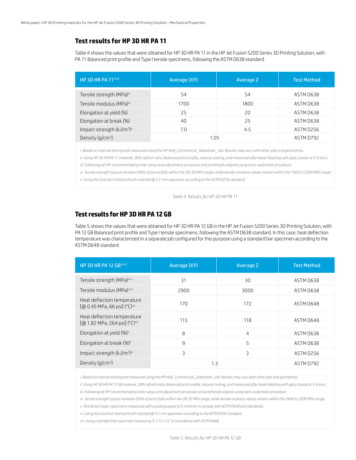#### **Test results for HP 3D HR PA 11**

Table 4 shows the values that were obtained for HP 3D HR PA 11 in the HP Jet Fusion 5200 Series 3D Printing Solution, with PA 11 Balanced print profile and Type I tensile specimens, following the ASTM D638 standard.

| HP 3D HR PA 11iiiii                               | Average (XY) | Average Z | <b>Test Method</b> |
|---------------------------------------------------|--------------|-----------|--------------------|
| Tensile strength (MPa)iv                          | 54           | 54        | ASTM D638          |
| Tensile modulus (MPa)iv                           | 1700         | 1800      | ASTM D638          |
| Elongation at yield (%)                           | 25           | 20        | ASTM D638          |
| Elongation at break (%)                           | 40           | 25        | ASTM D638          |
| Impact strength (kJ/m <sup>2</sup> ) <sup>v</sup> | 7.0          | 4.5       | ASTM D256          |
| Density $(q/cm^3)$                                | 1.05         |           | ASTM D792          |

*i. Based on internal testing and measured using the HP Half\_Commercial\_Datasheet\_Job. Results may vary with other jobs and geometries.*

*ii. Using HP 3D HR PA 11 material, 30% refresh ratio, Balanced print profile, natural cooling, and measured after bead-blasting with glass beads at 5-6 bars.*

*iii. Following all HP-recommended printer setup and adjustment processes and printheads aligned using semi-automatic procedure.*

*iv. Tensile strength typical variation (95% of parts) falls within the 50-58 MPa range, while tensile modulus values remain within the 1500 to 2200 MPa range.*

*v. Using the Izod test method A with notched @ 3.2 mm specimen according to the ASTM D256 standard.*

*Table 4. Results for HP 3D HR PA 11*

#### **Test results for HP 3D HR PA 12 GB**

Table 5 shows the values that were obtained for HP 3D HR PA 12 GB in the HP Jet Fusion 5200 Series 3D Printing Solution, with PA 12 GB Balanced print profile and Type I tensile specimens, following the ASTM D638 standard. In this case, heat deflection temperature was characterized in a separate job configured for this purpose using a standard bar specimen according to the ASTM D648 standard.

| HP 3D HR PA 12 GBillilli                                     | Average (XY) | Average Z | <b>Test Method</b> |
|--------------------------------------------------------------|--------------|-----------|--------------------|
| Tensile strength (MPa)ivv                                    | 31           | 30        | ASTM D638          |
| Tensile modulus (MPa) ivv                                    | 2900         | 3000      | ASTM D638          |
| Heat deflection temperature<br>[@ 0.45 MPa, 66 psi] (°C)vii  | 170          | 172       | ASTM D648          |
| Heat deflection temperature<br>[@ 1.82 MPa, 264 psi] (°C)vii | 113          | 118       | ASTM D648          |
| Elongation at yield $(\%)^{\vee}$                            | 8            | 4         | ASTM D638          |
| Elongation at break $(\%)^{\vee}$                            | 9            | 5         | ASTM D638          |
| Impact strength (kJ/m <sup>2</sup> ) <sup>vi</sup>           | 3            | 3         | ASTM D256          |
| Density $(g/cm3)$                                            | 1.3          |           | ASTM D792          |

*i. Based on internal testing and measured using the HP Half\_Commercial\_Datasheet\_Job. Results may vary with other jobs and geometries.*

*ii. Using HP 3D HR PA 12 GB material, 30% refresh ratio, Balanced print profile, natural cooling, and measured after bead-blasting with glass beads at 5-6 bars.*

*iii. Following all HP-recommended printer setup and adjustment processes and printheads aligned using semi-automatic procedure.*

*iv. Tensile strength typical variation (95% of parts) falls within the 28-32 MPa range, while tensile modulus values remain within the 2600 to 3200 MPa range.*

*v. Tensile test type I specimens measured with a pulling speed of 5 mm/min to comply with ASTM D638 test standards.*

*vi. Using the Izod test method A with notched @ 3.2 mm specimen according to the ASTM D256 standard.*

*vii. Using a standard bar specimen measuring 5" x ½" x ¼" in accordance with ASTM D648.*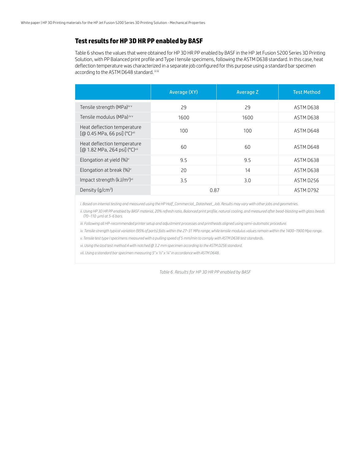#### **Test results for HP 3D HR PP enabled by BASF**

Table 6 shows the values that were obtained for HP 3D HR PP enabled by BASF in the HP Jet Fusion 5200 Series 3D Printing Solution, with PP Balanced print profile and Type I tensile specimens, following the ASTM D638 standard. In this case, heat deflection temperature was characterized in a separate job configured for this purpose using a standard bar specimen according to the ASTM D648 standard. iiiiii

|                                                                          | Average (XY) | Average Z | <b>Test Method</b> |
|--------------------------------------------------------------------------|--------------|-----------|--------------------|
| Tensile strength (MPa)ivv                                                | 29           | 29        | ASTM D638          |
| Tensile modulus (MPa) ivv                                                | 1600         | 1600      | ASTM D638          |
| Heat deflection temperature<br>[@ 0.45 MPa, 66 psi] (°C)vii              | 100          | 100       | ASTM D648          |
| Heat deflection temperature<br>[@ 1.82 MPa, 264 psi] (°C) <sup>vii</sup> | 60           | 60        | ASTM D648          |
| Elongation at yield $(\%)^{\vee}$                                        | 9.5          | 9.5       | ASTM D638          |
| Elongation at break $(\%)^{\vee}$                                        | 20           | 14        | ASTM D638          |
| Impact strength (kJ/m <sup>2</sup> ) <sup>vi</sup>                       | 3.5          | 3.0       | ASTM D256          |
| Density $(q/cm^3)$                                                       | 0.87         |           | ASTM D792          |

*i. Based on internal testing and measured using the HP Half\_Commercial\_Datasheet\_Job. Results may vary with other jobs and geometries.*

ii. Using HP 3D HR PP enabled by BASF material, 20% refresh ratio, Balanced print profile, natural cooling, and measured after bead-blasting with glass beads  *(70–110 µm) at 5-6 bars.*

*iii. Following all HP-recommended printer setup and adjustment processes and printheads aligned using semi-automatic procedure.*

*iv. Tensile strength typical variation (95% of parts) falls within the 27–31 MPa range, while tensile modulus values remain within the 1400–1900 Mpa range.*

*v. Tensile test type I specimens measured with a pulling speed of 5 mm/min to comply with ASTM D638 test standards.*

*vi. Using the Izod test method A with notched @ 3.2 mm specimen according to the ASTM D256 standard.*

*vii. Using a standard bar specimen measuring 5" x ½" x ¼" in accordance with ASTM D648.*

*Table 6. Results for HP 3D HR PP enabled by BASF*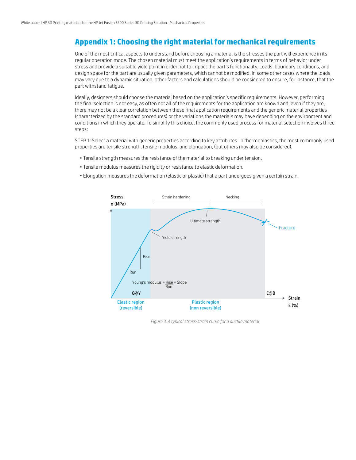## **Appendix 1: Choosing the right material for mechanical requirements**

One of the most critical aspects to understand before choosing a material is the stresses the part will experience in its regular operation mode. The chosen material must meet the application's requirements in terms of behavior under stress and provide a suitable yield point in order not to impact the part's functionality. Loads, boundary conditions, and design space for the part are usually given parameters, which cannot be modified. In some other cases where the loads may vary due to a dynamic situation, other factors and calculations should be considered to ensure, for instance, that the part withstand fatigue.

Ideally, designers should choose the material based on the application's specific requirements. However, performing the final selection is not easy, as often not all of the requirements for the application are known and, even if they are, there may not be a clear correlation between these final application requirements and the generic material properties (characterized by the standard procedures) or the variations the materials may have depending on the environment and conditions in which they operate. To simplify this choice, the commonly used process for material selection involves three steps:

STEP 1: Select a material with generic properties according to key attributes. In thermoplastics, the most commonly used properties are tensile strength, tensile modulus, and elongation, (but others may also be considered).

- Tensile strength measures the resistance of the material to breaking under tension.
- Tensile modulus measures the rigidity or resistance to elastic deformation.
- Elongation measures the deformation (elastic or plastic) that a part undergoes given a certain strain.



*Figure 3. A typical stress-strain curve for a ductile material*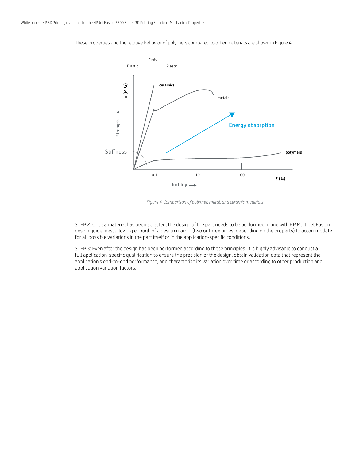

These properties and the relative behavior of polymers compared to other materials are shown in Figure 4.

*Figure 4. Comparison of polymer, metal, and ceramic materials*

STEP 2: Once a material has been selected, the design of the part needs to be performed in line with HP Multi Jet Fusion design guidelines, allowing enough of a design margin (two or three times, depending on the property) to accommodate for all possible variations in the part itself or in the application-specific conditions.

STEP 3: Even after the design has been performed according to these principles, it is highly advisable to conduct a full application-specific qualification to ensure the precision of the design, obtain validation data that represent the application's end-to-end performance, and characterize its variation over time or according to other production and application variation factors.